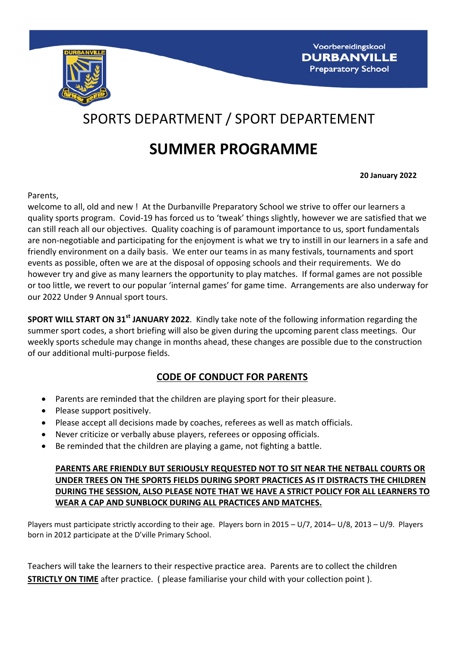

# SPORTS DEPARTMENT / SPORT DEPARTEMENT

# **SUMMER PROGRAMME**

**20 January 2022**

Parents,

welcome to all, old and new ! At the Durbanville Preparatory School we strive to offer our learners a quality sports program. Covid-19 has forced us to 'tweak' things slightly, however we are satisfied that we can still reach all our objectives. Quality coaching is of paramount importance to us, sport fundamentals are non-negotiable and participating for the enjoyment is what we try to instill in our learners in a safe and friendly environment on a daily basis. We enter our teams in as many festivals, tournaments and sport events as possible, often we are at the disposal of opposing schools and their requirements. We do however try and give as many learners the opportunity to play matches. If formal games are not possible or too little, we revert to our popular 'internal games' for game time. Arrangements are also underway for our 2022 Under 9 Annual sport tours.

**SPORT WILL START ON 31<sup>st</sup> JANUARY 2022**. Kindly take note of the following information regarding the summer sport codes, a short briefing will also be given during the upcoming parent class meetings. Our weekly sports schedule may change in months ahead, these changes are possible due to the construction of our additional multi-purpose fields.

# **CODE OF CONDUCT FOR PARENTS**

- Parents are reminded that the children are playing sport for their pleasure.
- Please support positively.
- Please accept all decisions made by coaches, referees as well as match officials.
- Never criticize or verbally abuse players, referees or opposing officials.
- Be reminded that the children are playing a game, not fighting a battle.

#### **PARENTS ARE FRIENDLY BUT SERIOUSLY REQUESTED NOT TO SIT NEAR THE NETBALL COURTS OR UNDER TREES ON THE SPORTS FIELDS DURING SPORT PRACTICES AS IT DISTRACTS THE CHILDREN DURING THE SESSION, ALSO PLEASE NOTE THAT WE HAVE A STRICT POLICY FOR ALL LEARNERS TO WEAR A CAP AND SUNBLOCK DURING ALL PRACTICES AND MATCHES.**

Players must participate strictly according to their age. Players born in 2015 – U/7, 2014– U/8, 2013 – U/9. Players born in 2012 participate at the D'ville Primary School.

Teachers will take the learners to their respective practice area. Parents are to collect the children **STRICTLY ON TIME** after practice. ( please familiarise your child with your collection point ).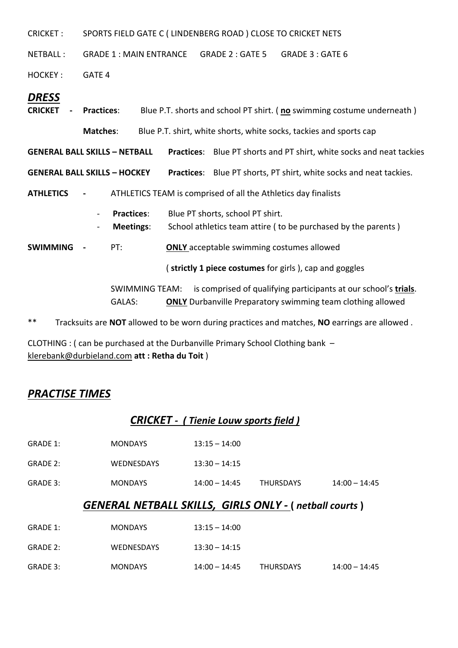CRICKET : SPORTS FIELD GATE C ( LINDENBERG ROAD ) CLOSE TO CRICKET NETS

NETBALL: GRADE 1 : MAIN ENTRANCE GRADE 2 : GATE 5 GRADE 3 : GATE 6

HOCKEY: GATE 4

#### *DRESS*

| <b>CRICKET</b>                                                                                        | - Practices:             |                                       | Blue P.T. shorts and school PT shirt. (no swimming costume underneath) |                                                                                                                                       |  |
|-------------------------------------------------------------------------------------------------------|--------------------------|---------------------------------------|------------------------------------------------------------------------|---------------------------------------------------------------------------------------------------------------------------------------|--|
|                                                                                                       | <b>Matches:</b>          |                                       |                                                                        | Blue P.T. shirt, white shorts, white socks, tackies and sports cap                                                                    |  |
| <b>GENERAL BALL SKILLS - NETBALL</b>                                                                  |                          |                                       |                                                                        | <b>Practices:</b> Blue PT shorts and PT shirt, white socks and neat tackies                                                           |  |
| <b>GENERAL BALL SKILLS - HOCKEY</b>                                                                   |                          |                                       |                                                                        | <b>Practices:</b> Blue PT shorts, PT shirt, white socks and neat tackies.                                                             |  |
| <b>ATHLETICS</b>                                                                                      | $\sim$ $-$               |                                       |                                                                        | ATHLETICS TEAM is comprised of all the Athletics day finalists                                                                        |  |
|                                                                                                       | $\overline{\phantom{0}}$ | <b>Practices:</b><br><b>Meetings:</b> |                                                                        | Blue PT shorts, school PT shirt.<br>School athletics team attire (to be purchased by the parents)                                     |  |
| <b>SWIMMING</b>                                                                                       |                          | PT:                                   |                                                                        | <b>ONLY</b> acceptable swimming costumes allowed                                                                                      |  |
| (strictly 1 piece costumes for girls), cap and goggles                                                |                          |                                       |                                                                        |                                                                                                                                       |  |
|                                                                                                       |                          | <b>SWIMMING TEAM:</b><br>GALAS:       |                                                                        | is comprised of qualifying participants at our school's trials.<br><b>ONLY</b> Durbanville Preparatory swimming team clothing allowed |  |
| $***$<br>Tracksuits are NOT allowed to be worn during practices and matches, NO earrings are allowed. |                          |                                       |                                                                        |                                                                                                                                       |  |

CLOTHING : ( can be purchased at the Durbanville Primary School Clothing bank – [klerebank@durbieland.com](mailto:klerebank@durbieland.com) **att : Retha du Toit** )

### *PRACTISE TIMES*

### *CRICKET - ( Tienie Louw sports field )*

| <b>GENERAL NETBALL SKILLS, GIRLS ONLY - (netball courts)</b> |                |                 |                  |                 |
|--------------------------------------------------------------|----------------|-----------------|------------------|-----------------|
| GRADE 3:                                                     | <b>MONDAYS</b> | $14:00 - 14:45$ | <b>THURSDAYS</b> | $14:00 - 14:45$ |
| GRADE 2:                                                     | WEDNESDAYS     | $13:30 - 14:15$ |                  |                 |
| GRADE 1:                                                     | <b>MONDAYS</b> | $13:15 - 14:00$ |                  |                 |

| GRADE 1: | <b>MONDAYS</b>    | $13:15 - 14:00$ |                  |                 |
|----------|-------------------|-----------------|------------------|-----------------|
| GRADE 2: | <b>WEDNESDAYS</b> | $13:30 - 14:15$ |                  |                 |
| GRADE 3: | <b>MONDAYS</b>    | 14:00 – 14:45   | <b>THURSDAYS</b> | $14:00 - 14:45$ |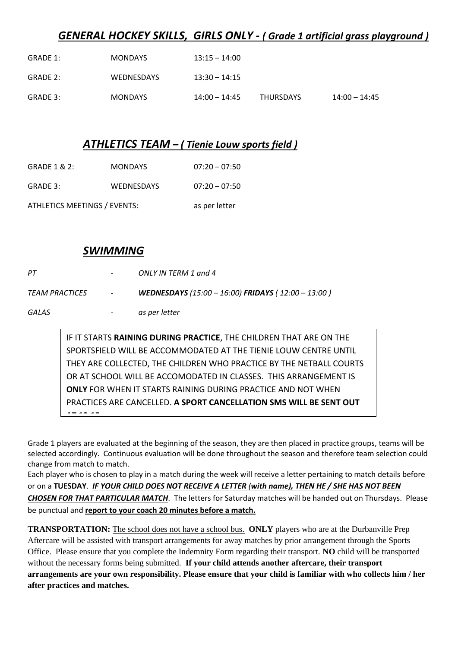### *GENERAL HOCKEY SKILLS, GIRLS ONLY - ( Grade 1 artificial grass playground )*

| GRADE 1: | <b>MONDAYS</b>    | $13:15 - 14:00$ |                  |                 |
|----------|-------------------|-----------------|------------------|-----------------|
| GRADE 2: | <b>WEDNESDAYS</b> | $13:30 - 14:15$ |                  |                 |
| GRADE 3: | <b>MONDAYS</b>    | $14:00 - 14:45$ | <b>THURSDAYS</b> | $14:00 - 14:45$ |

#### *ATHLETICS TEAM – ( Tienie Louw sports field )*

- GRADE 1 & 2: MONDAYS 07:20 07:50
- GRADE 3: WEDNESDAYS 07:20 07:50

ATHLETICS MEETINGS / EVENTS: as per letter

#### *SWIMMING*

| PТ                    | $\overline{\phantom{a}}$ | ONLY IN TERM 1 and 4                                      |
|-----------------------|--------------------------|-----------------------------------------------------------|
| <b>TEAM PRACTICES</b> | $\overline{\phantom{a}}$ | <b>WEDNESDAYS</b> (15:00 - 16:00) FRIDAYS (12:00 - 13:00) |
| GALAS                 | $\overline{\phantom{a}}$ | as per letter                                             |

IF IT STARTS **RAINING DURING PRACTICE**, THE CHILDREN THAT ARE ON THE SPORTSFIELD WILL BE ACCOMMODATED AT THE TIENIE LOUW CENTRE UNTIL THEY ARE COLLECTED, THE CHILDREN WHO PRACTICE BY THE NETBALL COURTS OR AT SCHOOL WILL BE ACCOMODATED IN CLASSES. THIS ARRANGEMENT IS **ONLY** FOR WHEN IT STARTS RAINING DURING PRACTICE AND NOT WHEN PRACTICES ARE CANCELLED. **A SPORT CANCELLATION SMS WILL BE SENT OUT AT 12:15**

Grade 1 players are evaluated at the beginning of the season, they are then placed in practice groups, teams will be selected accordingly. Continuous evaluation will be done throughout the season and therefore team selection could change from match to match.

Each player who is chosen to play in a match during the week will receive a letter pertaining to match details before or on a **TUESDAY**. *IF YOUR CHILD DOES NOT RECEIVE A LETTER (with name), THEN HE / SHE HAS NOT BEEN CHOSEN FOR THAT PARTICULAR MATCH*. The letters for Saturday matches will be handed out on Thursdays. Please be punctual and **report to your coach 20 minutes before a match.**

**TRANSPORTATION:** The school does not have a school bus. **ONLY** players who are at the Durbanville Prep Aftercare will be assisted with transport arrangements for away matches by prior arrangement through the Sports Office. Please ensure that you complete the Indemnity Form regarding their transport. **NO** child will be transported without the necessary forms being submitted. **If your child attends another aftercare, their transport arrangements are your own responsibility. Please ensure that your child is familiar with who collects him / her after practices and matches.**